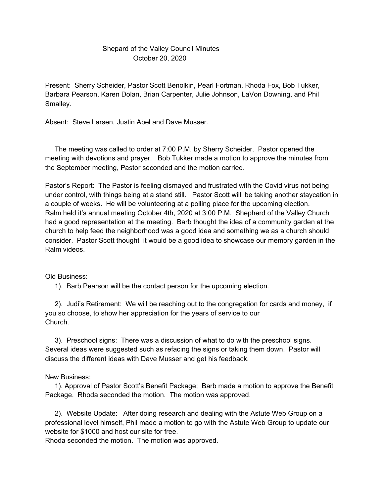## Shepard of the Valley Council Minutes October 20, 2020

Present: Sherry Scheider, Pastor Scott Benolkin, Pearl Fortman, Rhoda Fox, Bob Tukker, Barbara Pearson, Karen Dolan, Brian Carpenter, Julie Johnson, LaVon Downing, and Phil Smalley.

Absent: Steve Larsen, Justin Abel and Dave Musser.

The meeting was called to order at 7:00 P.M. by Sherry Scheider. Pastor opened the meeting with devotions and prayer. Bob Tukker made a motion to approve the minutes from the September meeting, Pastor seconded and the motion carried.

Pastor's Report: The Pastor is feeling dismayed and frustrated with the Covid virus not being under control, with things being at a stand still. Pastor Scott willl be taking another staycation in a couple of weeks. He will be volunteering at a polling place for the upcoming election. Ralm held it's annual meeting October 4th, 2020 at 3:00 P.M. Shepherd of the Valley Church had a good representation at the meeting. Barb thought the idea of a community garden at the church to help feed the neighborhood was a good idea and something we as a church should consider. Pastor Scott thought it would be a good idea to showcase our memory garden in the Ralm videos.

## Old Business:

1). Barb Pearson will be the contact person for the upcoming election.

2). Judi's Retirement: We will be reaching out to the congregation for cards and money, if you so choose, to show her appreciation for the years of service to our Church.

3). Preschool signs: There was a discussion of what to do with the preschool signs. Several ideas were suggested such as refacing the signs or taking them down. Pastor will discuss the different ideas with Dave Musser and get his feedback.

## New Business:

1). Approval of Pastor Scott's Benefit Package; Barb made a motion to approve the Benefit Package, Rhoda seconded the motion. The motion was approved.

2). Website Update: After doing research and dealing with the Astute Web Group on a professional level himself, Phil made a motion to go with the Astute Web Group to update our website for \$1000 and host our site for free.

Rhoda seconded the motion. The motion was approved.